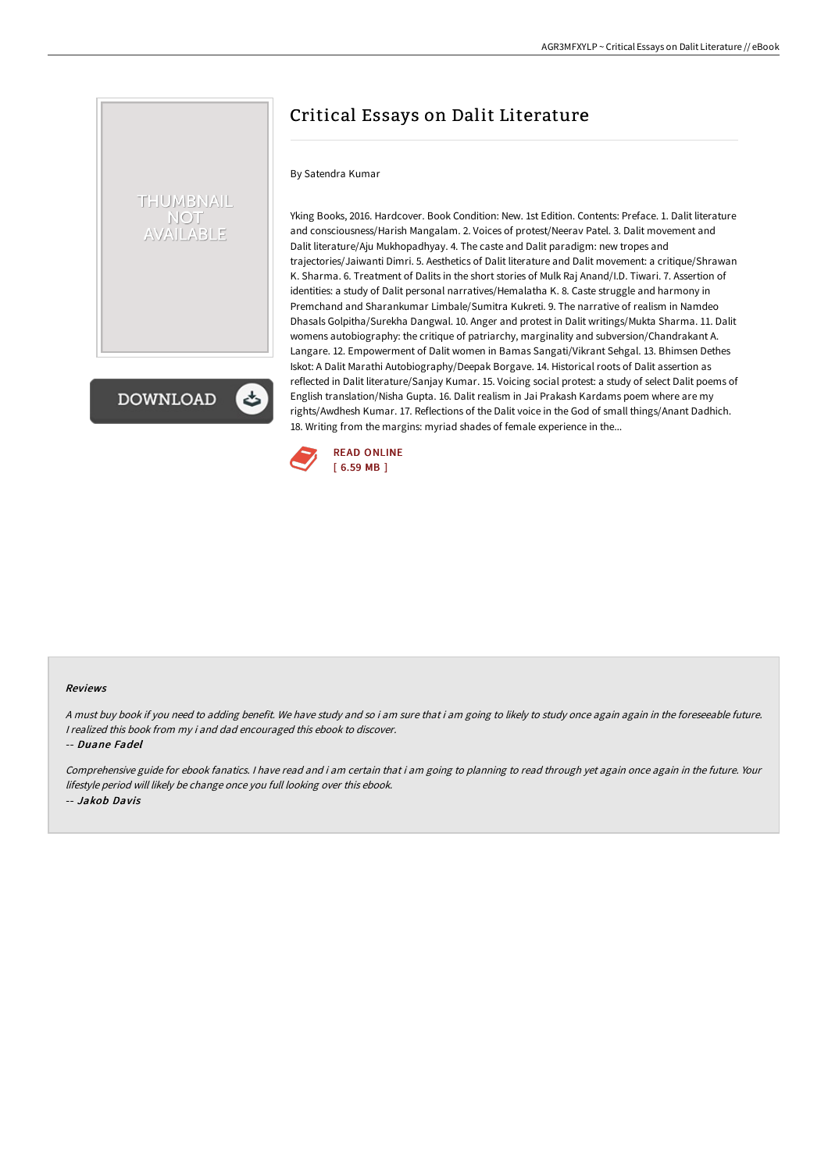# Critical Essays on Dalit Literature

#### By Satendra Kumar

THUMBNAIL **NOT AILABLE** 

**DOWNLOAD** 

Yking Books, 2016. Hardcover. Book Condition: New. 1st Edition. Contents: Preface. 1. Dalit literature and consciousness/Harish Mangalam. 2. Voices of protest/Neerav Patel. 3. Dalit movement and Dalit literature/Aju Mukhopadhyay. 4. The caste and Dalit paradigm: new tropes and trajectories/Jaiwanti Dimri. 5. Aesthetics of Dalit literature and Dalit movement: a critique/Shrawan K. Sharma. 6. Treatment of Dalits in the short stories of Mulk Raj Anand/I.D. Tiwari. 7. Assertion of identities: a study of Dalit personal narratives/Hemalatha K. 8. Caste struggle and harmony in Premchand and Sharankumar Limbale/Sumitra Kukreti. 9. The narrative of realism in Namdeo Dhasals Golpitha/Surekha Dangwal. 10. Anger and protest in Dalit writings/Mukta Sharma. 11. Dalit womens autobiography: the critique of patriarchy, marginality and subversion/Chandrakant A. Langare. 12. Empowerment of Dalit women in Bamas Sangati/Vikrant Sehgal. 13. Bhimsen Dethes Iskot: A Dalit Marathi Autobiography/Deepak Borgave. 14. Historical roots of Dalit assertion as reflected in Dalit literature/Sanjay Kumar. 15. Voicing social protest: a study of select Dalit poems of English translation/Nisha Gupta. 16. Dalit realism in Jai Prakash Kardams poem where are my rights/Awdhesh Kumar. 17. Reflections of the Dalit voice in the God of small things/Anant Dadhich. 18. Writing from the margins: myriad shades of female experience in the...



#### Reviews

A must buy book if you need to adding benefit. We have study and so i am sure that i am going to likely to study once again again in the foreseeable future. <sup>I</sup> realized this book from my i and dad encouraged this ebook to discover.

-- Duane Fadel

Comprehensive guide for ebook fanatics. <sup>I</sup> have read and i am certain that i am going to planning to read through yet again once again in the future. Your lifestyle period will likely be change once you full looking over this ebook. -- Jakob Davis